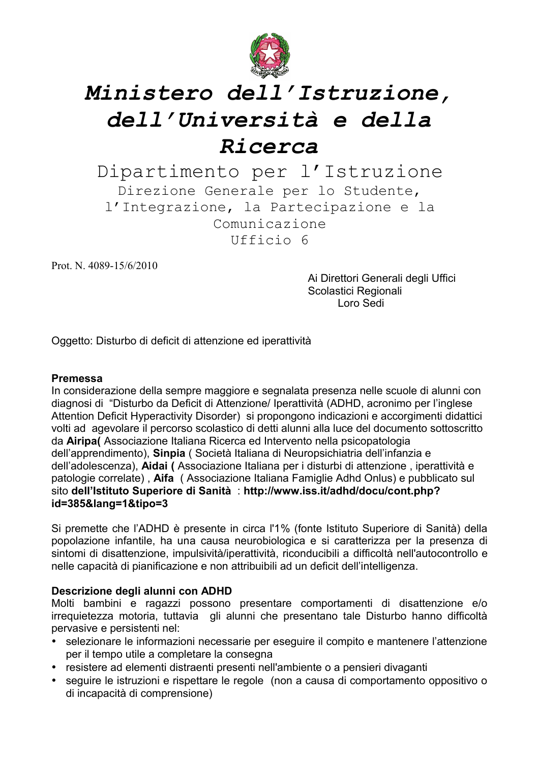

Dipartimento per l'Istruzione Direzione Generale per lo Studente, l'Integrazione, la Partecipazione e la Comunicazione Ufficio 6

Prot. N. 4089-15/6/2010

Ai Direttori Generali degli Uffici Scolastici Regionali Loro Sedi

Oggetto: Disturbo di deficit di attenzione ed iperattività

#### **Premessa**

In considerazione della sempre maggiore e segnalata presenza nelle scuole di alunni con diagnosi di "Disturbo da Deficit di Attenzione/ Iperattività (ADHD, acronimo per l'inglese Attention Deficit Hyperactivity Disorder) si propongono indicazioni e accorgimenti didattici volti ad agevolare il percorso scolastico di detti alunni alla luce del documento sottoscritto da Airipa (Associazione Italiana Ricerca ed Intervento nella psicopatologia dell'apprendimento), Sinpia (Società Italiana di Neuropsichiatria dell'infanzia e dell'adolescenza), Aidai (Associazione Italiana per i disturbi di attenzione, iperattività e patologie correlate), Aifa (Associazione Italiana Famiglie Adhd Onlus) e pubblicato sul sito dell'Istituto Superiore di Sanità : http://www.iss.it/adhd/docu/cont.php? id=385&lang=1&tipo=3

Si premette che l'ADHD è presente in circa l'1% (fonte Istituto Superiore di Sanità) della popolazione infantile, ha una causa neurobiologica e si caratterizza per la presenza di sintomi di disattenzione, impulsività/iperattività, riconducibili a difficoltà nell'autocontrollo e nelle capacità di pianificazione e non attribuibili ad un deficit dell'intelligenza.

#### Descrizione degli alunni con ADHD

Molti bambini e ragazzi possono presentare comportamenti di disattenzione e/o irrequietezza motoria, tuttavia gli alunni che presentano tale Disturbo hanno difficoltà pervasive e persistenti nel:

- selezionare le informazioni necessarie per eseguire il compito e mantenere l'attenzione per il tempo utile a completare la consegna
- resistere ad elementi distraenti presenti nell'ambiente o a pensieri divaganti
- seguire le istruzioni e rispettare le regole (non a causa di comportamento oppositivo o di incapacità di comprensione)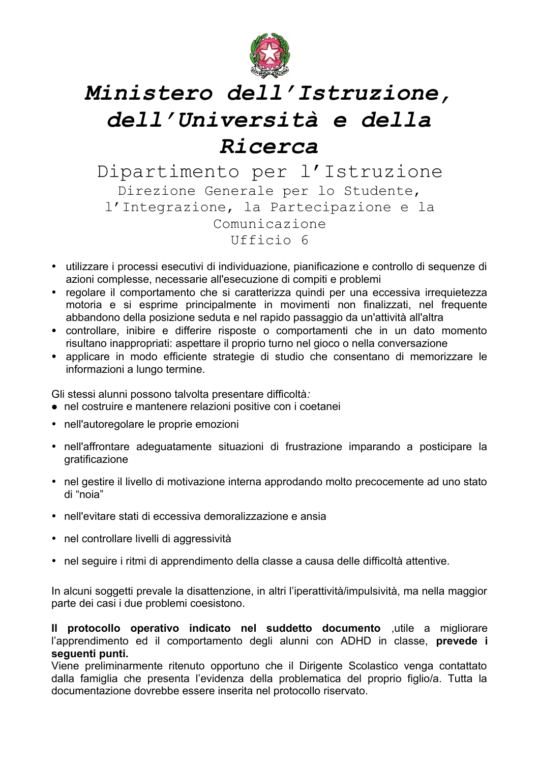

Dipartimento per l'Istruzione Direzione Generale per lo Studente, l'Integrazione, la Partecipazione e la Comunicazione Ufficio 6

- utilizzare i processi esecutivi di individuazione, pianificazione e controllo di sequenze di azioni complesse, necessarie all'esecuzione di compiti e problemi
- regolare il comportamento che si caratterizza quindi per una eccessiva irrequietezza motoria e si esprime principalmente in movimenti non finalizzati, nel frequente abbandono della posizione seduta e nel rapido passaggio da un'attività all'altra
- controllare, inibire e differire risposte o comportamenti che in un dato momento risultano inappropriati: aspettare il proprio turno nel gioco o nella conversazione
- · applicare in modo efficiente strategie di studio che consentano di memorizzare le informazioni a lungo termine.

Gli stessi alunni possono talvolta presentare difficoltà.

- nel costruire e mantenere relazioni positive con i coetanei
- nell'autoregolare le proprie emozioni
- · nell'affrontare adeguatamente situazioni di frustrazione imparando a posticipare la gratificazione
- nel gestire il livello di motivazione interna approdando molto precocemente ad uno stato di "noia"
- nell'evitare stati di eccessiva demoralizzazione e ansia
- nel controllare livelli di aggressività
- nel seguire i ritmi di apprendimento della classe a causa delle difficoltà attentive.

In alcuni soggetti prevale la disattenzione, in altri l'iperattività/impulsività, ma nella maggior parte dei casi i due problemi coesistono.

Il protocollo operativo indicato nel suddetto documento ,utile a migliorare l'apprendimento ed il comportamento degli alunni con ADHD in classe, prevede i sequenti punti.

Viene preliminarmente ritenuto opportuno che il Dirigente Scolastico venga contattato dalla famiglia che presenta l'evidenza della problematica del proprio figlio/a. Tutta la documentazione dovrebbe essere inserita nel protocollo riservato.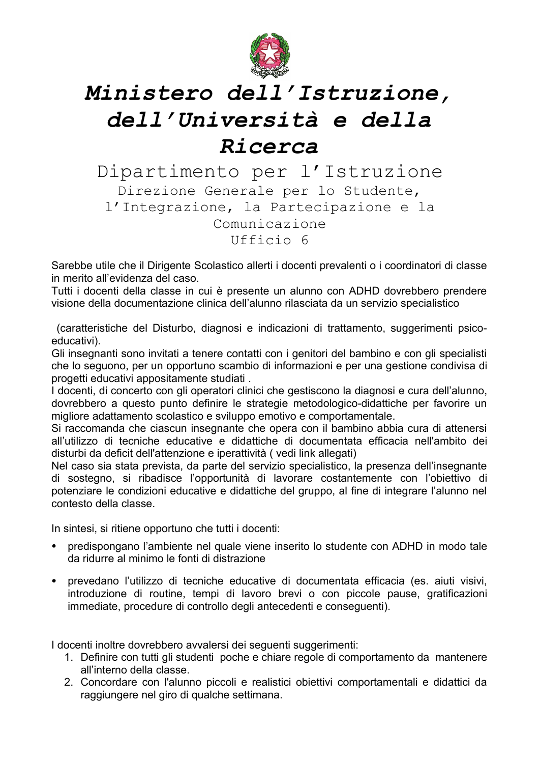

Dipartimento per l'Istruzione Direzione Generale per lo Studente, l'Integrazione, la Partecipazione e la Comunicazione Ufficio 6

Sarebbe utile che il Dirigente Scolastico allerti i docenti prevalenti o i coordinatori di classe in merito all'evidenza del caso.

Tutti i docenti della classe in cui è presente un alunno con ADHD dovrebbero prendere visione della documentazione clinica dell'alunno rilasciata da un servizio specialistico

(caratteristiche del Disturbo, diagnosi e indicazioni di trattamento, suggerimenti psicoeducativi).

Gli insegnanti sono invitati a tenere contatti con i genitori del bambino e con gli specialisti che lo seguono, per un opportuno scambio di informazioni e per una gestione condivisa di progetti educativi appositamente studiati.

I docenti, di concerto con gli operatori clinici che gestiscono la diagnosi e cura dell'alunno, dovrebbero a questo punto definire le strategie metodologico-didattiche per favorire un migliore adattamento scolastico e sviluppo emotivo e comportamentale.

Si raccomanda che ciascun insegnante che opera con il bambino abbia cura di attenersi all'utilizzo di tecniche educative e didattiche di documentata efficacia nell'ambito dei disturbi da deficit dell'attenzione e iperattività (vedi link allegati)

Nel caso sia stata prevista, da parte del servizio specialistico, la presenza dell'insegnante di sostegno, si ribadisce l'opportunità di lavorare costantemente con l'obiettivo di potenziare le condizioni educative e didattiche del gruppo, al fine di integrare l'alunno nel contesto della classe

In sintesi, si ritiene opportuno che tutti i docenti:

- predispongano l'ambiente nel quale viene inserito lo studente con ADHD in modo tale da ridurre al minimo le fonti di distrazione
- prevedano l'utilizzo di tecniche educative di documentata efficacia (es. aiuti visivi, introduzione di routine, tempi di lavoro brevi o con piccole pause, gratificazioni immediate, procedure di controllo degli antecedenti e conseguenti).

I docenti inoltre dovrebbero avvalersi dei seguenti suggerimenti:

- 1. Definire con tutti gli studenti poche e chiare regole di comportamento da mantenere all'interno della classe
- 2. Concordare con l'alunno piccoli e realistici obiettivi comportamentali e didattici da raggiungere nel giro di qualche settimana.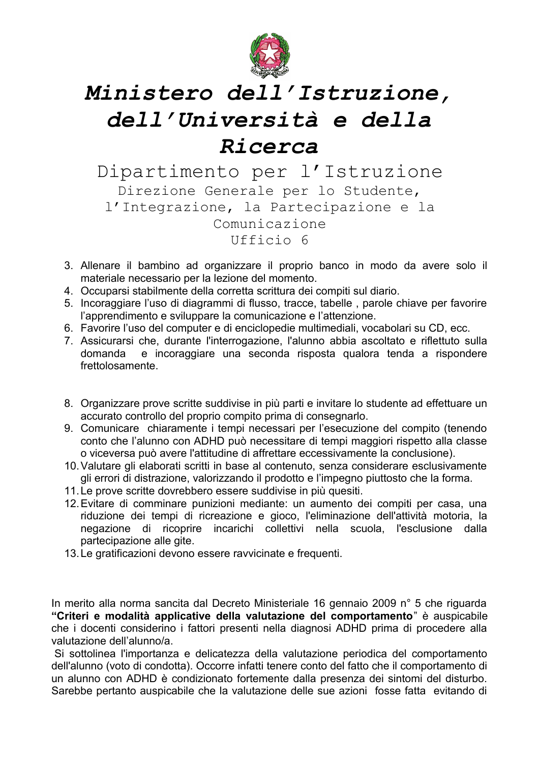

Dipartimento per l'Istruzione Direzione Generale per lo Studente, l'Integrazione, la Partecipazione e la Comunicazione Ufficio 6

- 3. Allenare il bambino ad organizzare il proprio banco in modo da avere solo il materiale necessario per la lezione del momento.
- 4. Occuparsi stabilmente della corretta scrittura dei compiti sul diario.
- 5. Incoraggiare l'uso di diagrammi di flusso, tracce, tabelle, parole chiave per favorire l'apprendimento e sviluppare la comunicazione e l'attenzione.
- 6. Favorire l'uso del computer e di enciclopedie multimediali, vocabolari su CD, ecc.
- 7. Assicurarsi che, durante l'interrogazione, l'alunno abbia ascoltato e riflettuto sulla e incoraggiare una seconda risposta qualora tenda a rispondere domanda frettolosamente.
- 8. Organizzare prove scritte suddivise in più parti e invitare lo studente ad effettuare un accurato controllo del proprio compito prima di consegnarlo.
- 9. Comunicare chiaramente i tempi necessari per l'esecuzione del compito (tenendo conto che l'alunno con ADHD può necessitare di tempi maggiori rispetto alla classe o viceversa può avere l'attitudine di affrettare eccessivamente la conclusione).
- 10. Valutare gli elaborati scritti in base al contenuto, senza considerare esclusivamente gli errori di distrazione, valorizzando il prodotto e l'impegno piuttosto che la forma.
- 11. Le prove scritte dovrebbero essere suddivise in più quesiti.
- 12. Evitare di comminare punizioni mediante: un aumento dei compiti per casa, una riduzione dei tempi di ricreazione e gioco. l'eliminazione dell'attività motoria, la negazione di ricoprire incarichi collettivi nella scuola, l'esclusione dalla partecipazione alle gite.
- 13. Le gratificazioni devono essere ravvicinate e frequenti.

In merito alla norma sancita dal Decreto Ministeriale 16 gennaio 2009 n° 5 che riguarda "Criteri e modalità applicative della valutazione del comportamento" è auspicabile che i docenti considerino i fattori presenti nella diagnosi ADHD prima di procedere alla valutazione dell'alunno/a.

Si sottolinea l'importanza e delicatezza della valutazione periodica del comportamento dell'alunno (voto di condotta). Occorre infatti tenere conto del fatto che il comportamento di un alunno con ADHD è condizionato fortemente dalla presenza dei sintomi del disturbo. Sarebbe pertanto auspicabile che la valutazione delle sue azioni fosse fatta evitando di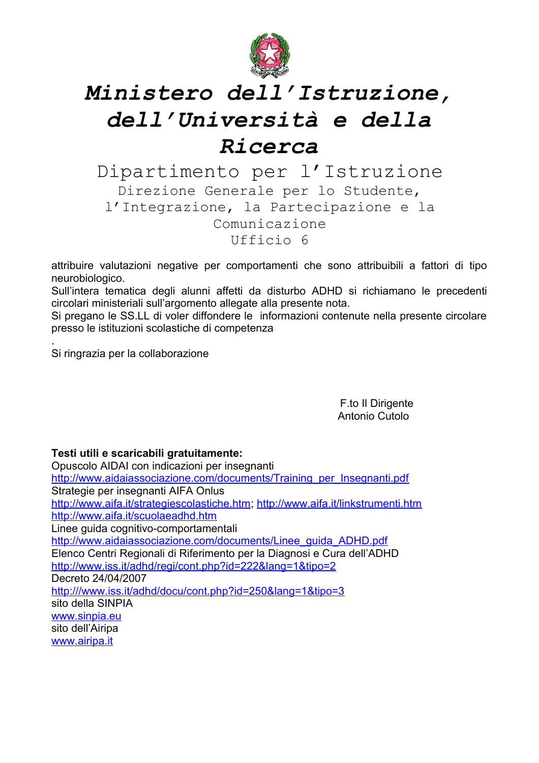

Dipartimento per l'Istruzione Direzione Generale per lo Studente, l'Integrazione, la Partecipazione e la Comunicazione Ufficio 6

attribuire valutazioni negative per comportamenti che sono attribuibili a fattori di tipo neurobiologico.

Sull'intera tematica degli alunni affetti da disturbo ADHD si richiamano le precedenti circolari ministeriali sull'argomento allegate alla presente nota.

Si pregano le SS.LL di voler diffondere le informazioni contenute nella presente circolare presso le istituzioni scolastiche di competenza

Si ringrazia per la collaborazione

F.to II Dirigente Antonio Cutolo

#### Testi utili e scaricabili gratuitamente:

Opuscolo AIDAI con indicazioni per insegnanti http://www.aidaiassociazione.com/documents/Training per Insegnanti.pdf Strategie per insegnanti AIFA Onlus http://www.aifa.it/strategiescolastiche.htm.http://www.aifa.it/linkstrumenti.htm http://www.aifa.it/scuolaeadhd.htm Linee guida cognitivo-comportamentali http://www.aidaiassociazione.com/documents/Linee\_quida\_ADHD.pdf Elenco Centri Regionali di Riferimento per la Diagnosi e Cura dell'ADHD http://www.iss.it/adhd/regi/cont.php?id=222&lang=1&tipo=2 Decreto 24/04/2007 http:///www.iss.it/adhd/docu/cont.php?id=250&lang=1&tipo=3 sito della SINPIA www.sinpia.eu sito dell'Airipa www.airipa.it